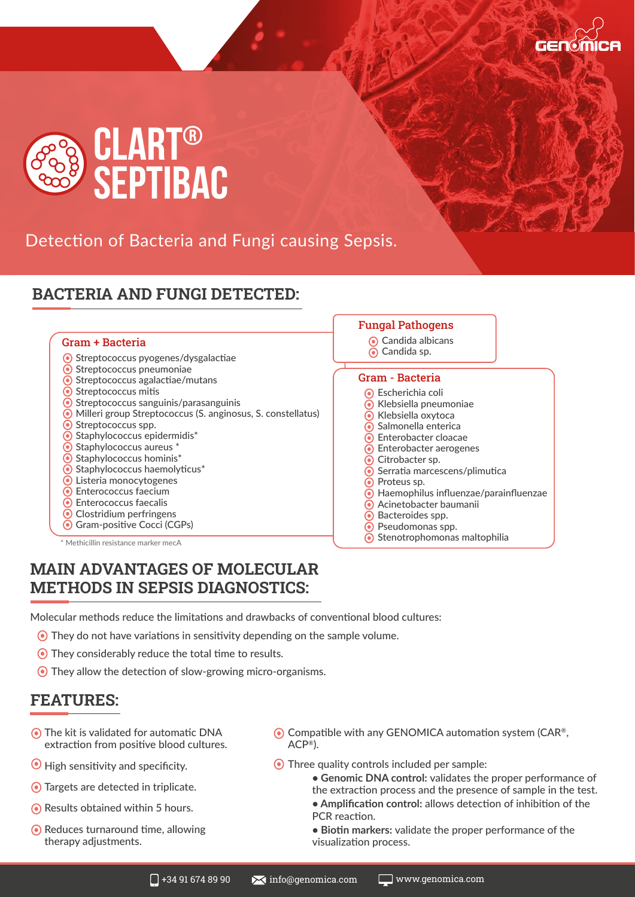



Detection of Bacteria and Fungi causing Sepsis.

# **BACTERIA AND FUNGI DETECTED:**

#### Gram + Bacteria Candida albicans

- **Streptococcus pyogenes/dysgalactiae**
- **Streptococcus pneumoniae**
- **Streptococcus agalactiae/mutans**
- Streptococcus mitis
- $\odot$  Streptococcus sanguinis/parasanguinis Milleri group Streptococcus (S. anginosus, S. constellatus)
- **●** Streptococcus spp.
- 
- $\odot$  Staphylococcus epidermidis\*  $\odot$  Staphylococcus aureus  $*$
- $\odot$  Staphylococcus hominis\*
- $\odot$  Staphylococcus haemolyticus\*
- Listeria monocytogenes
- **●** Enterococcus faecium
- **●** Enterococcus faecalis
- **⊙** Clostridium perfringens
- Gram-positive Cocci (CGPs)

\* Methicillin resistance marker mecA

### **MAIN ADVANTAGES OF MOLECULAR METHODS IN SEPSIS DIAGNOSTICS:**

Molecular methods reduce the limitations and drawbacks of conventional blood cultures:

- They do not have variations in sensitivity depending on the sample volume.
- They considerably reduce the total time to results.
- They allow the detection of slow-growing micro-organisms.

#### **FEATURES:**

- The kit is validated for automatic DNA extraction from positive blood cultures.
- $\odot$  High sensitivity and specificity.
- Targets are detected in triplicate.
- **Results obtained within 5 hours.**
- **Reduces turnaround time, allowing** therapy adjustments.
- $\odot$  Compatible with any GENOMICA automation system (CAR<sup>®</sup>, ACP®).
- Three quality controls included per sample:

Candida sp.

Gram - Bacteria

Escherichia coli Klebsiella pneumoniae Klebsiella oxytoca  $\odot$  Salmonella enterica Enterobacter cloacae **●** Enterobacter aerogenes

 $\odot$  Citrobacter sp.

 $\odot$  Proteus sp.

**● Serratia marcescens/plimutica** 

 $\odot$  Stenotrophomonas maltophilia

Acinetobacter baumanii **●** Bacteroides spp. Pseudomonas spp.

Haemophilus influenzae/parainfluenzae

Fungal Pathogens

- **Genomic DNA control:** validates the proper performance of the extraction process and the presence of sample in the test. **• Amplification control:** allows detection of inhibition of the PCR reaction.
- **Biotin markers:** validate the proper performance of the visualization process.